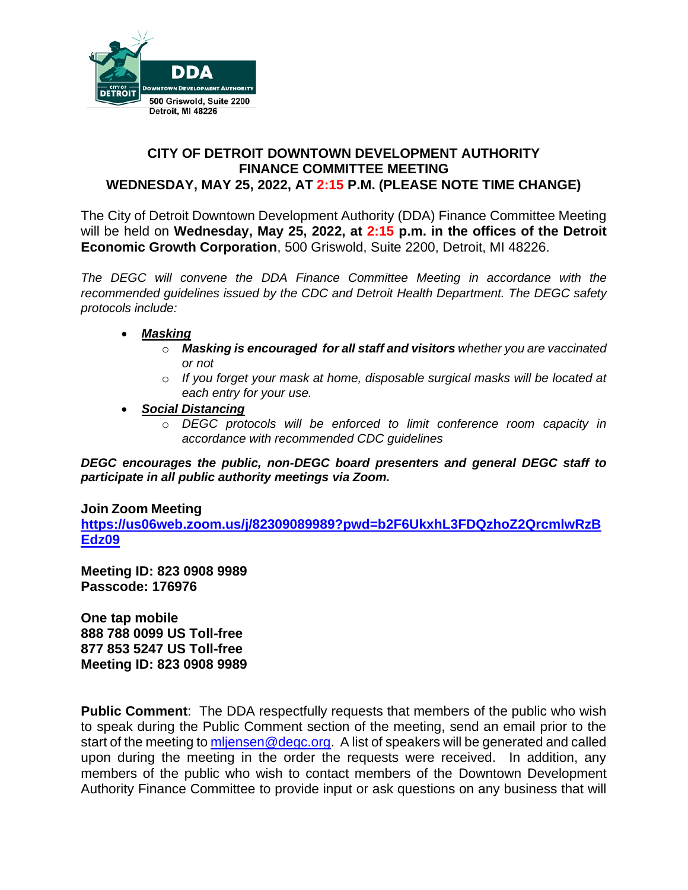

#### **CITY OF DETROIT DOWNTOWN DEVELOPMENT AUTHORITY FINANCE COMMITTEE MEETING WEDNESDAY, MAY 25, 2022, AT 2:15 P.M. (PLEASE NOTE TIME CHANGE)**

The City of Detroit Downtown Development Authority (DDA) Finance Committee Meeting will be held on **Wednesday, May 25, 2022, at 2:15 p.m. in the offices of the Detroit Economic Growth Corporation**, 500 Griswold, Suite 2200, Detroit, MI 48226.

*The DEGC will convene the DDA Finance Committee Meeting in accordance with the recommended guidelines issued by the CDC and Detroit Health Department. The DEGC safety protocols include:*

- *Masking*
	- o *Masking is encouraged for all staff and visitors whether you are vaccinated or not*
	- o *If you forget your mask at home, disposable surgical masks will be located at each entry for your use.*
- *Social Distancing* 
	- o *DEGC protocols will be enforced to limit conference room capacity in accordance with recommended CDC guidelines*

*DEGC encourages the public, non-DEGC board presenters and general DEGC staff to participate in all public authority meetings via Zoom.* 

#### **Join Zoom Meeting**

**[https://us06web.zoom.us/j/82309089989?pwd=b2F6UkxhL3FDQzhoZ2QrcmlwRzB](https://us06web.zoom.us/j/82309089989?pwd=b2F6UkxhL3FDQzhoZ2QrcmlwRzBEdz09) [Edz09](https://us06web.zoom.us/j/82309089989?pwd=b2F6UkxhL3FDQzhoZ2QrcmlwRzBEdz09)**

**Meeting ID: 823 0908 9989 Passcode: 176976**

**One tap mobile 888 788 0099 US Toll-free 877 853 5247 US Toll-free Meeting ID: 823 0908 9989**

**Public Comment:** The DDA respectfully requests that members of the public who wish to speak during the Public Comment section of the meeting, send an email prior to the start of the meeting to [mljensen@degc.org.](mailto:mljensen@degc.org) A list of speakers will be generated and called upon during the meeting in the order the requests were received. In addition, any members of the public who wish to contact members of the Downtown Development Authority Finance Committee to provide input or ask questions on any business that will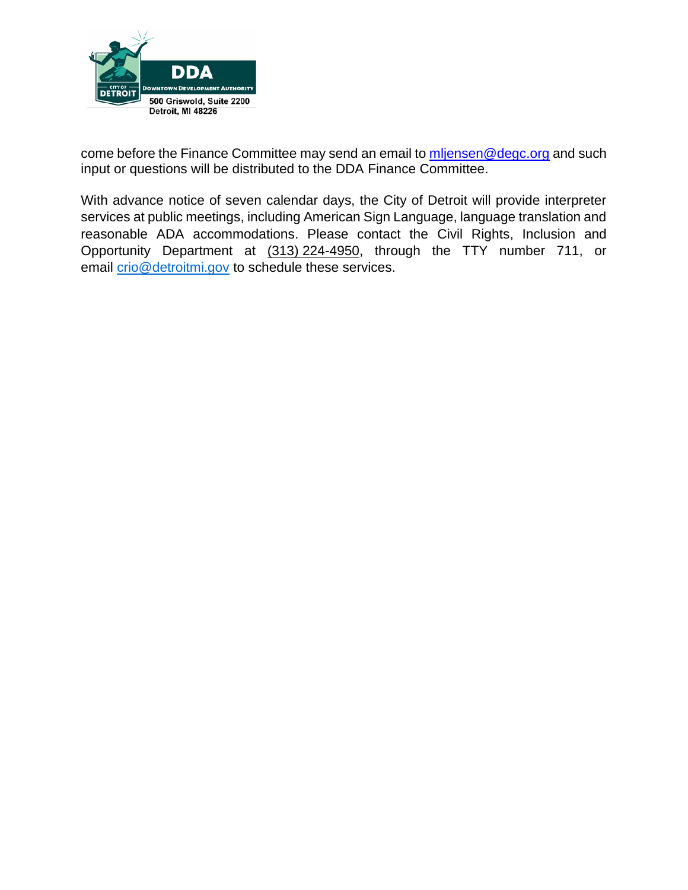

come before the Finance Committee may send an email to [mljensen@degc.org](mailto:mljensen@degc.org) and such input or questions will be distributed to the DDA Finance Committee.

With advance notice of seven calendar days, the City of Detroit will provide interpreter services at public meetings, including American Sign Language, language translation and reasonable ADA accommodations. Please contact the Civil Rights, Inclusion and Opportunity Department at (313) 224-4950, through the TTY number 711, or email [crio@detroitmi.gov](mailto:crio@detroitmi.gov) to schedule these services.